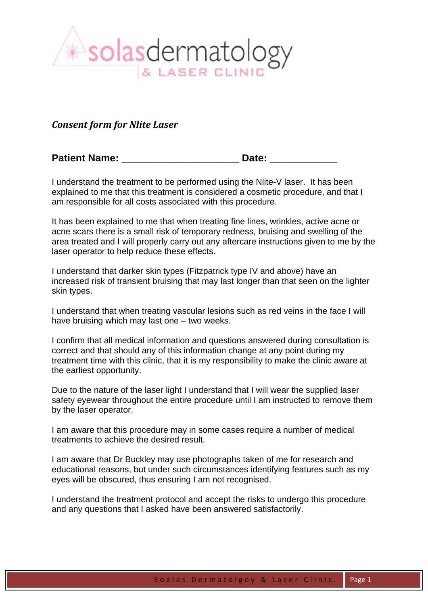

## *Consent form for Nlite Laser*

Patient Name: **Example 20** Date:

I understand the treatment to be performed using the Nlite-V laser. It has been explained to me that this treatment is considered a cosmetic procedure, and that I am responsible for all costs associated with this procedure.

It has been explained to me that when treating fine lines, wrinkles, active acne or acne scars there is a small risk of temporary redness, bruising and swelling of the area treated and I will properly carry out any aftercare instructions given to me by the laser operator to help reduce these effects.

I understand that darker skin types (Fitzpatrick type IV and above) have an increased risk of transient bruising that may last longer than that seen on the lighter skin types.

I understand that when treating vascular lesions such as red veins in the face I will have bruising which may last one – two weeks.

I confirm that all medical information and questions answered during consultation is correct and that should any of this information change at any point during my treatment time with this clinic, that it is my responsibility to make the clinic aware at the earliest opportunity.

Due to the nature of the laser light I understand that I will wear the supplied laser safety eyewear throughout the entire procedure until I am instructed to remove them by the laser operator.

I am aware that this procedure may in some cases require a number of medical treatments to achieve the desired result.

I am aware that Dr Buckley may use photographs taken of me for research and educational reasons, but under such circumstances identifying features such as my eyes will be obscured, thus ensuring I am not recognised.

I understand the treatment protocol and accept the risks to undergo this procedure and any questions that I asked have been answered satisfactorily.